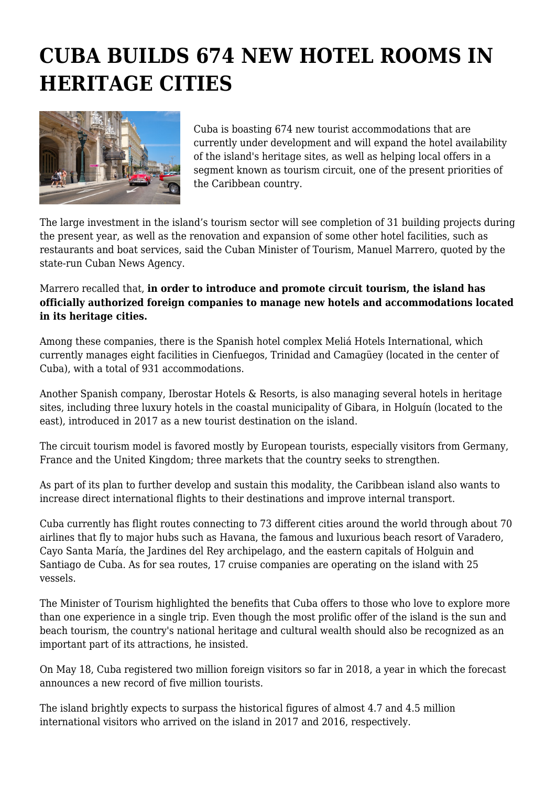## **CUBA BUILDS 674 NEW HOTEL ROOMS IN HERITAGE CITIES**



Cuba is boasting 674 new tourist accommodations that are currently under development and will expand the hotel availability of the island's heritage sites, as well as helping local offers in a segment known as tourism circuit, one of the present priorities of the Caribbean country.

The large investment in the island's tourism sector will see completion of 31 building projects during the present year, as well as the renovation and expansion of some other hotel facilities, such as restaurants and boat services, said the Cuban Minister of Tourism, Manuel Marrero, quoted by the state-run Cuban News Agency.

Marrero recalled that, **in order to introduce and promote circuit tourism, the island has officially authorized foreign companies to manage new hotels and accommodations located in its heritage cities.**

Among these companies, there is the Spanish hotel complex Meliá Hotels International, which currently manages eight facilities in Cienfuegos, Trinidad and Camagüey (located in the center of Cuba), with a total of 931 accommodations.

Another Spanish company, Iberostar Hotels & Resorts, is also managing several hotels in heritage sites, including three luxury hotels in the coastal municipality of Gibara, in Holguín (located to the east), introduced in 2017 as a new tourist destination on the island.

The circuit tourism model is favored mostly by European tourists, especially visitors from Germany, France and the United Kingdom; three markets that the country seeks to strengthen.

As part of its plan to further develop and sustain this modality, the Caribbean island also wants to increase direct international flights to their destinations and improve internal transport.

Cuba currently has flight routes connecting to 73 different cities around the world through about 70 airlines that fly to major hubs such as Havana, the famous and luxurious beach resort of Varadero, Cayo Santa María, the Jardines del Rey archipelago, and the eastern capitals of Holguin and Santiago de Cuba. As for sea routes, 17 cruise companies are operating on the island with 25 vessels.

The Minister of Tourism highlighted the benefits that Cuba offers to those who love to explore more than one experience in a single trip. Even though the most prolific offer of the island is the sun and beach tourism, the country's national heritage and cultural wealth should also be recognized as an important part of its attractions, he insisted.

On May 18, Cuba registered two million foreign visitors so far in 2018, a year in which the forecast announces a new record of five million tourists.

The island brightly expects to surpass the historical figures of almost 4.7 and 4.5 million international visitors who arrived on the island in 2017 and 2016, respectively.